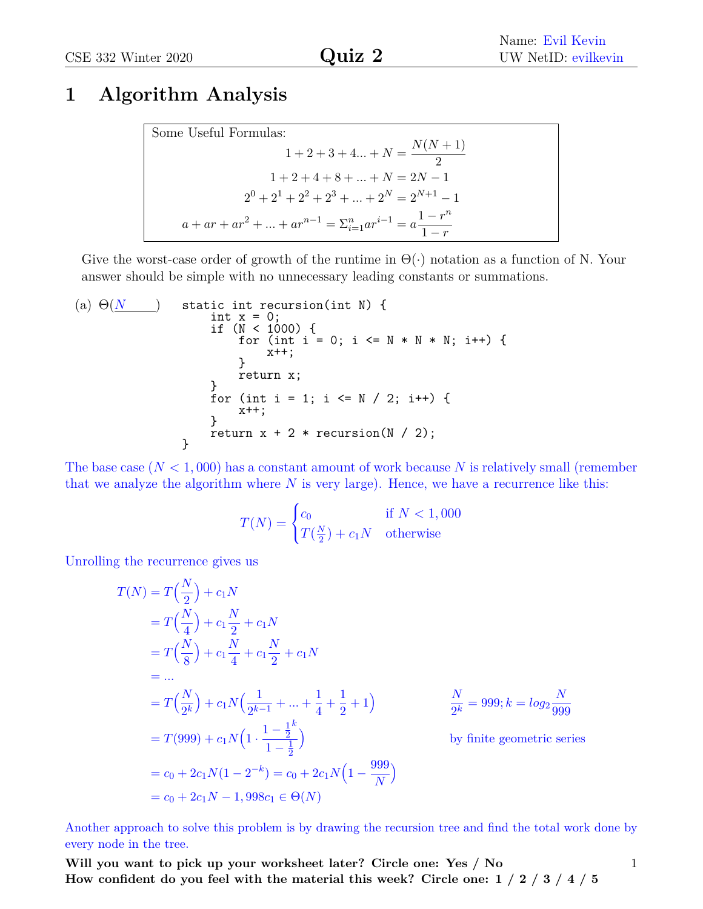1

### **1 Algorithm Analysis**

Some Useful Formulas:  
\n
$$
1 + 2 + 3 + 4... + N = \frac{N(N + 1)}{2}
$$
\n
$$
1 + 2 + 4 + 8 + ... + N = 2N - 1
$$
\n
$$
2^{0} + 2^{1} + 2^{2} + 2^{3} + ... + 2^{N} = 2^{N+1} - 1
$$
\n
$$
a + ar + ar^{2} + ... + ar^{n-1} = \sum_{i=1}^{n} ar^{i-1} = a \frac{1 - r^{n}}{1 - r}
$$

Give the worst-case order of growth of the runtime in  $\Theta(\cdot)$  notation as a function of N. Your answer should be simple with no unnecessary leading constants or summations.

(a) 
$$
\Theta(\underline{N}
$$
) static int recursion(int N) {  
\nint x = 0;  
\nif (N < 1000) {  
\nfor (int i = 0; i < = N \* N \* N; i++) {  
\n} return x;  
\n} return x;  
\nfor (int i = 1; i < = N / 2; i++) {  
\nx++;  
\n} return x + 2 \* recursion(N / 2);  
\n}

The base case  $(N < 1,000)$  has a constant amount of work because N is relatively small (remember that we analyze the algorithm where *N* is very large). Hence, we have a recurrence like this:

$$
T(N) = \begin{cases} c_0 & \text{if } N < 1,000\\ T(\frac{N}{2}) + c_1 N & \text{otherwise} \end{cases}
$$

Unrolling the recurrence gives us

$$
T(N) = T\left(\frac{N}{2}\right) + c_1 N
$$
  
\n
$$
= T\left(\frac{N}{4}\right) + c_1 \frac{N}{2} + c_1 N
$$
  
\n
$$
= T\left(\frac{N}{8}\right) + c_1 \frac{N}{4} + c_1 \frac{N}{2} + c_1 N
$$
  
\n
$$
= ...
$$
  
\n
$$
= T\left(\frac{N}{2^k}\right) + c_1 N\left(\frac{1}{2^{k-1}} + ... + \frac{1}{4} + \frac{1}{2} + 1\right)
$$
  
\n
$$
= T(999) + c_1 N\left(1 \cdot \frac{1 - \frac{1}{2}^k}{1 - \frac{1}{2}}\right)
$$
  
\n
$$
= c_0 + 2c_1 N(1 - 2^{-k}) = c_0 + 2c_1 N\left(1 - \frac{999}{N}\right)
$$
  
\n
$$
= c_0 + 2c_1 N - 1,998c_1 \in \Theta(N)
$$
  
\n
$$
= C_0 + 2c_1 N - 1,998c_1 \in \Theta(N)
$$

Another approach to solve this problem is by drawing the recursion tree and find the total work done by every node in the tree.

**Will you want to pick up your worksheet later? Circle one: Yes / No How confident do you feel with the material this week? Circle one: 1 / 2 / 3 / 4 / 5**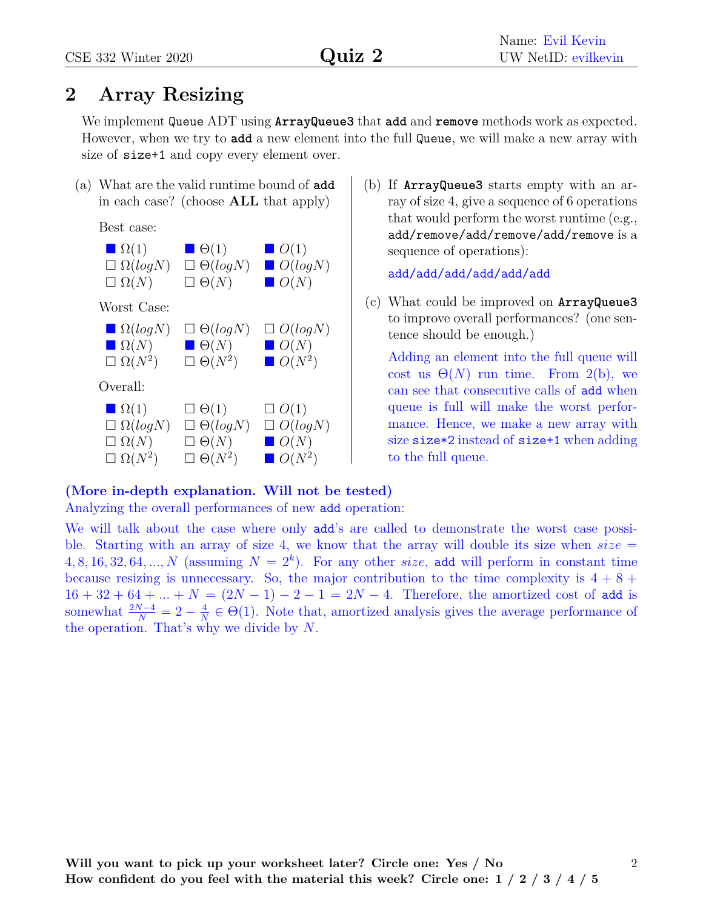## **2 Array Resizing**

We implement Queue ADT using **ArrayQueue3** that **add** and **remove** methods work as expected. However, when we try to **add** a new element into the full Queue, we will make a new array with size of size<sup>+1</sup> and copy every element over.

(a) What are the valid runtime bound of **add** in each case? (choose **ALL** that apply)

Best case:



(b) If **ArrayQueue3** starts empty with an array of size 4, give a sequence of 6 operations that would perform the worst runtime (e.g., add/remove/add/remove/add/remove is a sequence of operations):

add/add/add/add/add/add

(c) What could be improved on **ArrayQueue3** to improve overall performances? (one sentence should be enough.)

Adding an element into the full queue will cost us  $\Theta(N)$  run time. From 2(b), we can see that consecutive calls of add when queue is full will make the worst performance. Hence, we make a new array with size size\*2 instead of size+1 when adding to the full queue.

#### **(More in-depth explanation. Will not be tested)**

Analyzing the overall performances of new add operation:

We will talk about the case where only add's are called to demonstrate the worst case possible. Starting with an array of size 4, we know that the array will double its size when  $size =$  $4, 8, 16, 32, 64, \ldots, N$  (assuming  $N = 2<sup>k</sup>$ ). For any other *size*, add will perform in constant time because resizing is unnecessary. So, the major contribution to the time complexity is  $4 + 8 +$  $16 + 32 + 64 + ... + N = (2N - 1) - 2 - 1 = 2N - 4$ . Therefore, the amortized cost of add is somewhat  $\frac{2N-4}{N} = 2 - \frac{4}{N}$  $\frac{4}{N} \in \Theta(1)$ . Note that, amortized analysis gives the average performance of the operation. That's why we divide by *N*.